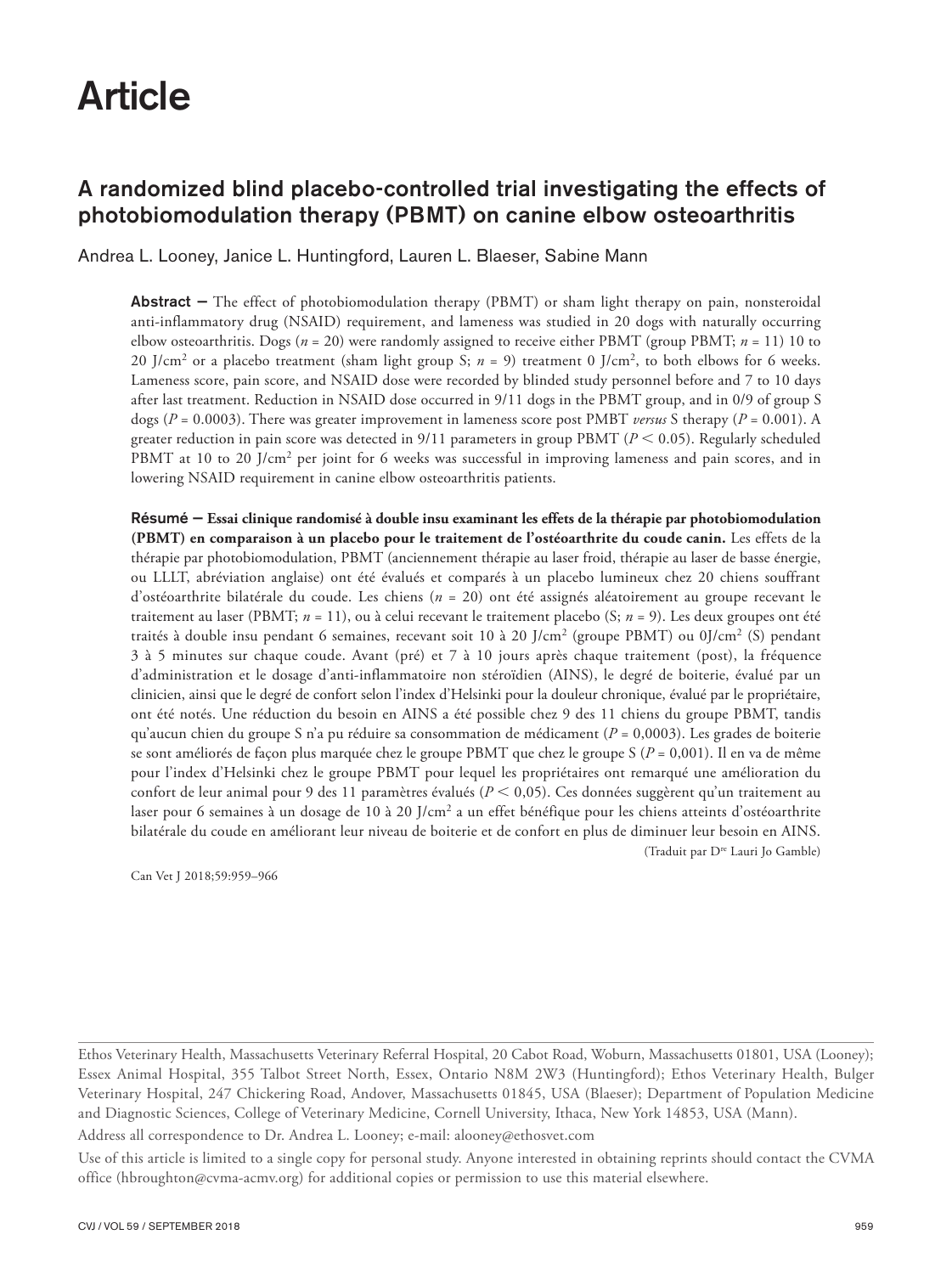# Article

# A randomized blind placebo-controlled trial investigating the effects of photobiomodulation therapy (PBMT) on canine elbow osteoarthritis

Andrea L. Looney, Janice L. Huntingford, Lauren L. Blaeser, Sabine Mann

Abstract — The effect of photobiomodulation therapy (PBMT) or sham light therapy on pain, nonsteroidal anti-inflammatory drug (NSAID) requirement, and lameness was studied in 20 dogs with naturally occurring elbow osteoarthritis. Dogs (*n* = 20) were randomly assigned to receive either PBMT (group PBMT; *n* = 11) 10 to 20 J/cm2 or a placebo treatment (sham light group S; *n* = 9) treatment 0 J/cm2, to both elbows for 6 weeks. Lameness score, pain score, and NSAID dose were recorded by blinded study personnel before and 7 to 10 days after last treatment. Reduction in NSAID dose occurred in 9/11 dogs in the PBMT group, and in 0/9 of group S dogs (*P* = 0.0003). There was greater improvement in lameness score post PMBT *versus* S therapy (*P* = 0.001). A greater reduction in pain score was detected in  $9/11$  parameters in group PBMT ( $P < 0.05$ ). Regularly scheduled PBMT at 10 to 20 J/cm<sup>2</sup> per joint for 6 weeks was successful in improving lameness and pain scores, and in lowering NSAID requirement in canine elbow osteoarthritis patients.

Résumé — **Essai clinique randomisé à double insu examinant les effets de la thérapie par photobiomodulation (PBMT) en comparaison à un placebo pour le traitement de l'ostéoarthrite du coude canin.** Les effets de la thérapie par photobiomodulation, PBMT (anciennement thérapie au laser froid, thérapie au laser de basse énergie, ou LLLT, abréviation anglaise) ont été évalués et comparés à un placebo lumineux chez 20 chiens souffrant d'ostéoarthrite bilatérale du coude. Les chiens (*n* = 20) ont été assignés aléatoirement au groupe recevant le traitement au laser (PBMT; *n* = 11), ou à celui recevant le traitement placebo (S; *n* = 9). Les deux groupes ont été traités à double insu pendant 6 semaines, recevant soit 10 à 20 J/cm<sup>2</sup> (groupe PBMT) ou 0J/cm<sup>2</sup> (S) pendant 3 à 5 minutes sur chaque coude. Avant (pré) et 7 à 10 jours après chaque traitement (post), la fréquence d'administration et le dosage d'anti-inflammatoire non stéroïdien (AINS), le degré de boiterie, évalué par un clinicien, ainsi que le degré de confort selon l'index d'Helsinki pour la douleur chronique, évalué par le propriétaire, ont été notés. Une réduction du besoin en AINS a été possible chez 9 des 11 chiens du groupe PBMT, tandis qu'aucun chien du groupe S n'a pu réduire sa consommation de médicament ( $P = 0,0003$ ). Les grades de boiterie se sont améliorés de façon plus marquée chez le groupe PBMT que chez le groupe S (*P* = 0,001). Il en va de même pour l'index d'Helsinki chez le groupe PBMT pour lequel les propriétaires ont remarqué une amélioration du confort de leur animal pour 9 des 11 paramètres évalués (*P* < 0,05). Ces données suggèrent qu'un traitement au laser pour 6 semaines à un dosage de 10 à 20 J/cm<sup>2</sup> a un effet bénéfique pour les chiens atteints d'ostéoarthrite bilatérale du coude en améliorant leur niveau de boiterie et de confort en plus de diminuer leur besoin en AINS. (Traduit par Dre Lauri Jo Gamble)

Can Vet J 2018;59:959–966

Ethos Veterinary Health, Massachusetts Veterinary Referral Hospital, 20 Cabot Road, Woburn, Massachusetts 01801, USA (Looney); Essex Animal Hospital, 355 Talbot Street North, Essex, Ontario N8M 2W3 (Huntingford); Ethos Veterinary Health, Bulger Veterinary Hospital, 247 Chickering Road, Andover, Massachusetts 01845, USA (Blaeser); Department of Population Medicine and Diagnostic Sciences, College of Veterinary Medicine, Cornell University, Ithaca, New York 14853, USA (Mann).

Address all correspondence to Dr. Andrea L. Looney; e-mail: alooney@ethosvet.com

Use of this article is limited to a single copy for personal study. Anyone interested in obtaining reprints should contact the CVMA office (hbroughton@cvma-acmv.org) for additional copies or permission to use this material elsewhere.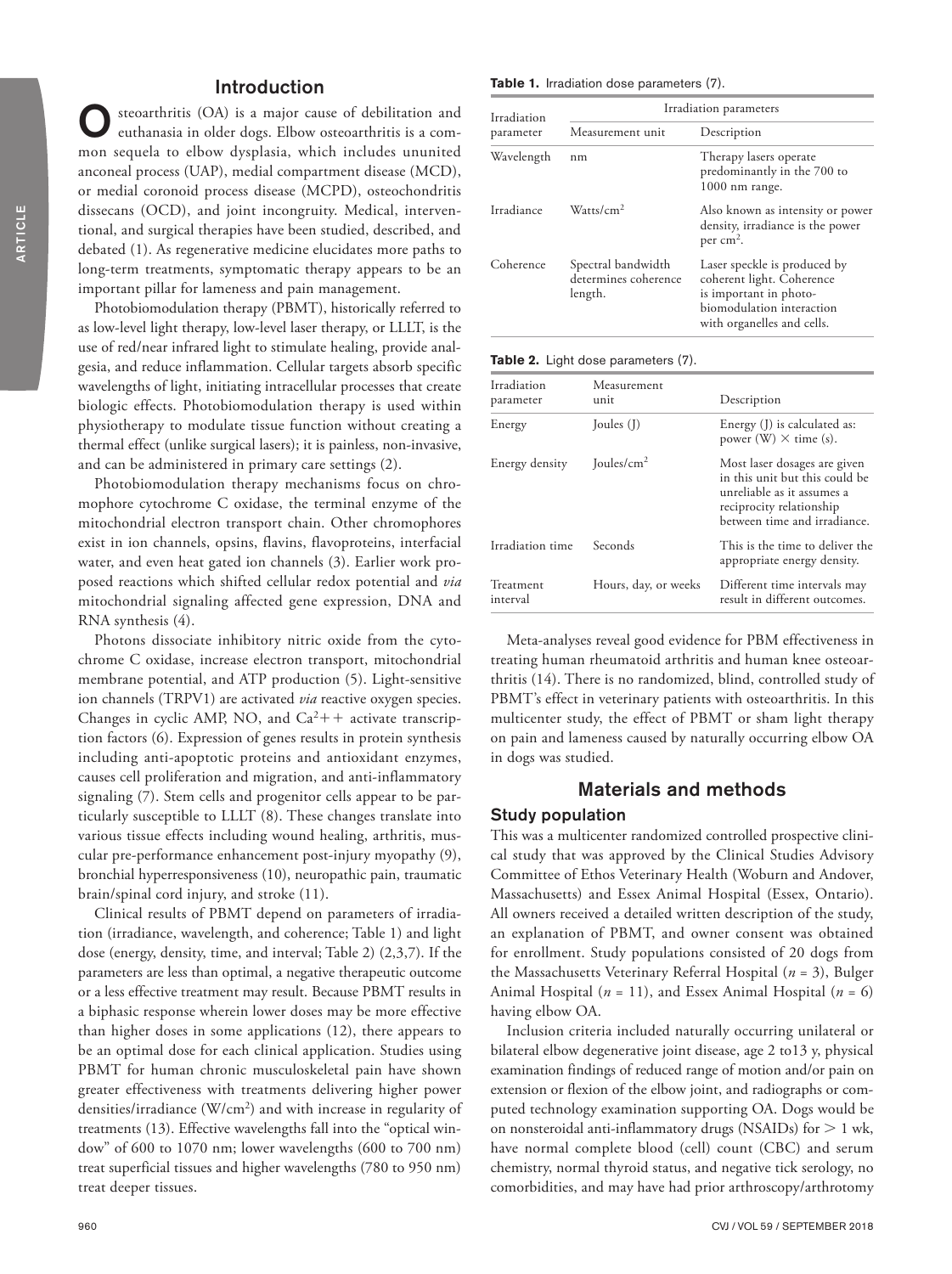# Introduction

steoarthritis (OA) is a major cause of debilitation and euthanasia in older dogs. Elbow osteoarthritis is a common sequela to elbow dysplasia, which includes ununited anconeal process (UAP), medial compartment disease (MCD), or medial coronoid process disease (MCPD), osteochondritis dissecans (OCD), and joint incongruity. Medical, interventional, and surgical therapies have been studied, described, and debated (1). As regenerative medicine elucidates more paths to long-term treatments, symptomatic therapy appears to be an important pillar for lameness and pain management.

Photobiomodulation therapy (PBMT), historically referred to as low-level light therapy, low-level laser therapy, or LLLT, is the use of red/near infrared light to stimulate healing, provide analgesia, and reduce inflammation. Cellular targets absorb specific wavelengths of light, initiating intracellular processes that create biologic effects. Photobiomodulation therapy is used within physiotherapy to modulate tissue function without creating a thermal effect (unlike surgical lasers); it is painless, non-invasive, and can be administered in primary care settings (2).

Photobiomodulation therapy mechanisms focus on chromophore cytochrome C oxidase, the terminal enzyme of the mitochondrial electron transport chain. Other chromophores exist in ion channels, opsins, flavins, flavoproteins, interfacial water, and even heat gated ion channels (3). Earlier work proposed reactions which shifted cellular redox potential and *via* mitochondrial signaling affected gene expression, DNA and RNA synthesis (4).

Photons dissociate inhibitory nitric oxide from the cytochrome C oxidase, increase electron transport, mitochondrial membrane potential, and ATP production (5). Light-sensitive ion channels (TRPV1) are activated *via* reactive oxygen species. Changes in cyclic AMP, NO, and  $Ca^{2}++$  activate transcription factors (6). Expression of genes results in protein synthesis including anti-apoptotic proteins and antioxidant enzymes, causes cell proliferation and migration, and anti-inflammatory signaling (7). Stem cells and progenitor cells appear to be particularly susceptible to LLLT (8). These changes translate into various tissue effects including wound healing, arthritis, muscular pre-performance enhancement post-injury myopathy (9), bronchial hyperresponsiveness (10), neuropathic pain, traumatic brain/spinal cord injury, and stroke (11).

Clinical results of PBMT depend on parameters of irradiation (irradiance, wavelength, and coherence; Table 1) and light dose (energy, density, time, and interval; Table 2) (2,3,7). If the parameters are less than optimal, a negative therapeutic outcome or a less effective treatment may result. Because PBMT results in a biphasic response wherein lower doses may be more effective than higher doses in some applications (12), there appears to be an optimal dose for each clinical application. Studies using PBMT for human chronic musculoskeletal pain have shown greater effectiveness with treatments delivering higher power densities/irradiance (W/cm2) and with increase in regularity of treatments (13). Effective wavelengths fall into the "optical window" of 600 to 1070 nm; lower wavelengths (600 to 700 nm) treat superficial tissues and higher wavelengths (780 to 950 nm) treat deeper tissues.

**Table 1.** Irradiation dose parameters (7).

| Irradiation<br>parameter | Irradiation parameters                                |                                                                                                                                                |  |  |
|--------------------------|-------------------------------------------------------|------------------------------------------------------------------------------------------------------------------------------------------------|--|--|
|                          | Measurement unit                                      | Description                                                                                                                                    |  |  |
| Wavelength               | nm                                                    | Therapy lasers operate<br>predominantly in the 700 to<br>1000 nm range.                                                                        |  |  |
| Irradiance               | W <sub>atfs</sub> /cm <sup>2</sup>                    | Also known as intensity or power<br>density, irradiance is the power<br>per $cm2$ .                                                            |  |  |
| Coherence                | Spectral bandwidth<br>determines coherence<br>length. | Laser speckle is produced by<br>coherent light. Coherence<br>is important in photo-<br>biomodulation interaction<br>with organelles and cells. |  |  |

|  |  |  | Table 2. Light dose parameters (7). |  |
|--|--|--|-------------------------------------|--|
|--|--|--|-------------------------------------|--|

| Irradiation<br>parameter | Measurement<br>unit  | Description                                                                                                                                              |
|--------------------------|----------------------|----------------------------------------------------------------------------------------------------------------------------------------------------------|
| Energy                   | Joules (J)           | Energy (J) is calculated as:<br>power (W) $\times$ time (s).                                                                                             |
| Energy density           | Joules/ $\rm cm^2$   | Most laser dosages are given<br>in this unit but this could be<br>unreliable as it assumes a<br>reciprocity relationship<br>between time and irradiance. |
| Irradiation time         | Seconds              | This is the time to deliver the<br>appropriate energy density.                                                                                           |
| Treatment<br>interval    | Hours, day, or weeks | Different time intervals may<br>result in different outcomes.                                                                                            |

Meta-analyses reveal good evidence for PBM effectiveness in treating human rheumatoid arthritis and human knee osteoarthritis (14). There is no randomized, blind, controlled study of PBMT's effect in veterinary patients with osteoarthritis. In this multicenter study, the effect of PBMT or sham light therapy on pain and lameness caused by naturally occurring elbow OA in dogs was studied.

# Materials and methods

#### Study population

This was a multicenter randomized controlled prospective clinical study that was approved by the Clinical Studies Advisory Committee of Ethos Veterinary Health (Woburn and Andover, Massachusetts) and Essex Animal Hospital (Essex, Ontario). All owners received a detailed written description of the study, an explanation of PBMT, and owner consent was obtained for enrollment. Study populations consisted of 20 dogs from the Massachusetts Veterinary Referral Hospital (*n* = 3), Bulger Animal Hospital (*n* = 11), and Essex Animal Hospital (*n* = 6) having elbow OA.

Inclusion criteria included naturally occurring unilateral or bilateral elbow degenerative joint disease, age 2 to13 y, physical examination findings of reduced range of motion and/or pain on extension or flexion of the elbow joint, and radiographs or computed technology examination supporting OA. Dogs would be on nonsteroidal anti-inflammatory drugs (NSAIDs) for  $> 1$  wk, have normal complete blood (cell) count (CBC) and serum chemistry, normal thyroid status, and negative tick serology, no comorbidities, and may have had prior arthroscopy/arthrotomy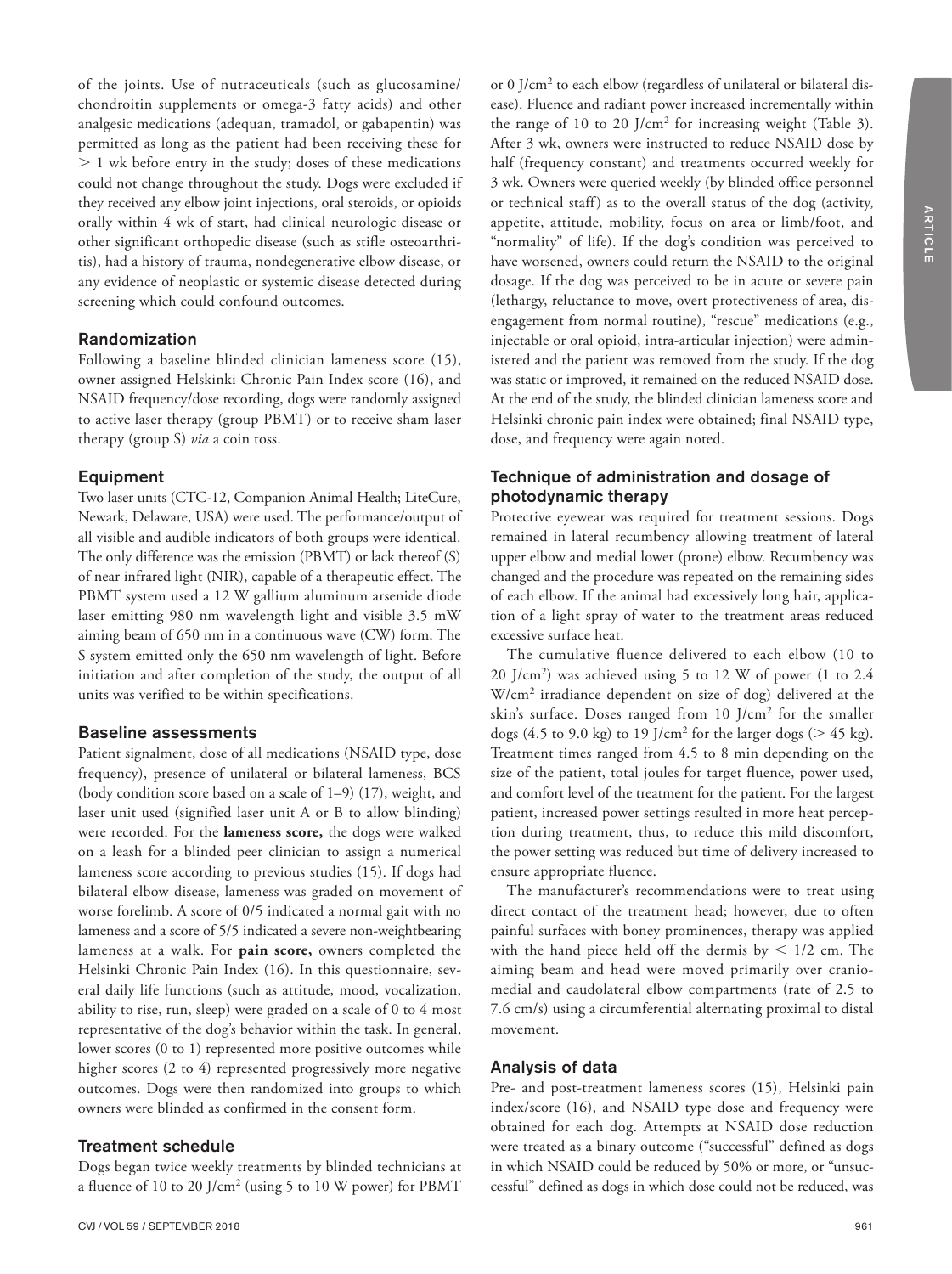of the joints. Use of nutraceuticals (such as glucosamine/ chondroitin supplements or omega-3 fatty acids) and other analgesic medications (adequan, tramadol, or gabapentin) was permitted as long as the patient had been receiving these for  $> 1$  wk before entry in the study; doses of these medications could not change throughout the study. Dogs were excluded if they received any elbow joint injections, oral steroids, or opioids orally within 4 wk of start, had clinical neurologic disease or other significant orthopedic disease (such as stifle osteoarthritis), had a history of trauma, nondegenerative elbow disease, or any evidence of neoplastic or systemic disease detected during screening which could confound outcomes.

#### Randomization

Following a baseline blinded clinician lameness score (15), owner assigned Helskinki Chronic Pain Index score (16), and NSAID frequency/dose recording, dogs were randomly assigned to active laser therapy (group PBMT) or to receive sham laser therapy (group S) *via* a coin toss.

#### Equipment

Two laser units (CTC-12, Companion Animal Health; LiteCure, Newark, Delaware, USA) were used. The performance/output of all visible and audible indicators of both groups were identical. The only difference was the emission (PBMT) or lack thereof (S) of near infrared light (NIR), capable of a therapeutic effect. The PBMT system used a 12 W gallium aluminum arsenide diode laser emitting 980 nm wavelength light and visible 3.5 mW aiming beam of 650 nm in a continuous wave (CW) form. The S system emitted only the 650 nm wavelength of light. Before initiation and after completion of the study, the output of all units was verified to be within specifications.

#### Baseline assessments

Patient signalment, dose of all medications (NSAID type, dose frequency), presence of unilateral or bilateral lameness, BCS (body condition score based on a scale of 1–9) (17), weight, and laser unit used (signified laser unit A or B to allow blinding) were recorded. For the **lameness score,** the dogs were walked on a leash for a blinded peer clinician to assign a numerical lameness score according to previous studies (15). If dogs had bilateral elbow disease, lameness was graded on movement of worse forelimb. A score of 0/5 indicated a normal gait with no lameness and a score of 5/5 indicated a severe non-weightbearing lameness at a walk. For **pain score,** owners completed the Helsinki Chronic Pain Index (16). In this questionnaire, several daily life functions (such as attitude, mood, vocalization, ability to rise, run, sleep) were graded on a scale of 0 to 4 most representative of the dog's behavior within the task. In general, lower scores (0 to 1) represented more positive outcomes while higher scores (2 to 4) represented progressively more negative outcomes. Dogs were then randomized into groups to which owners were blinded as confirmed in the consent form.

#### Treatment schedule

Dogs began twice weekly treatments by blinded technicians at a fluence of 10 to 20 J/cm2 (using 5 to 10 W power) for PBMT

or 0 J/cm2 to each elbow (regardless of unilateral or bilateral disease). Fluence and radiant power increased incrementally within the range of 10 to 20 J/cm2 for increasing weight (Table 3). After 3 wk, owners were instructed to reduce NSAID dose by half (frequency constant) and treatments occurred weekly for 3 wk. Owners were queried weekly (by blinded office personnel or technical staff) as to the overall status of the dog (activity, appetite, attitude, mobility, focus on area or limb/foot, and "normality" of life). If the dog's condition was perceived to have worsened, owners could return the NSAID to the original dosage. If the dog was perceived to be in acute or severe pain (lethargy, reluctance to move, overt protectiveness of area, disengagement from normal routine), "rescue" medications (e.g., injectable or oral opioid, intra-articular injection) were administered and the patient was removed from the study. If the dog was static or improved, it remained on the reduced NSAID dose. At the end of the study, the blinded clinician lameness score and Helsinki chronic pain index were obtained; final NSAID type, dose, and frequency were again noted.

# Technique of administration and dosage of photodynamic therapy

Protective eyewear was required for treatment sessions. Dogs remained in lateral recumbency allowing treatment of lateral upper elbow and medial lower (prone) elbow. Recumbency was changed and the procedure was repeated on the remaining sides of each elbow. If the animal had excessively long hair, application of a light spray of water to the treatment areas reduced excessive surface heat.

The cumulative fluence delivered to each elbow (10 to  $20$  J/cm<sup>2</sup>) was achieved using 5 to 12 W of power (1 to 2.4 W/cm2 irradiance dependent on size of dog) delivered at the skin's surface. Doses ranged from 10 J/cm2 for the smaller dogs (4.5 to 9.0 kg) to 19 J/cm<sup>2</sup> for the larger dogs ( $>$  45 kg). Treatment times ranged from 4.5 to 8 min depending on the size of the patient, total joules for target fluence, power used, and comfort level of the treatment for the patient. For the largest patient, increased power settings resulted in more heat perception during treatment, thus, to reduce this mild discomfort, the power setting was reduced but time of delivery increased to ensure appropriate fluence.

The manufacturer's recommendations were to treat using direct contact of the treatment head; however, due to often painful surfaces with boney prominences, therapy was applied with the hand piece held off the dermis by  $\leq 1/2$  cm. The aiming beam and head were moved primarily over craniomedial and caudolateral elbow compartments (rate of 2.5 to 7.6 cm/s) using a circumferential alternating proximal to distal movement.

## Analysis of data

Pre- and post-treatment lameness scores (15), Helsinki pain index/score (16), and NSAID type dose and frequency were obtained for each dog. Attempts at NSAID dose reduction were treated as a binary outcome ("successful" defined as dogs in which NSAID could be reduced by 50% or more, or "unsuccessful" defined as dogs in which dose could not be reduced, was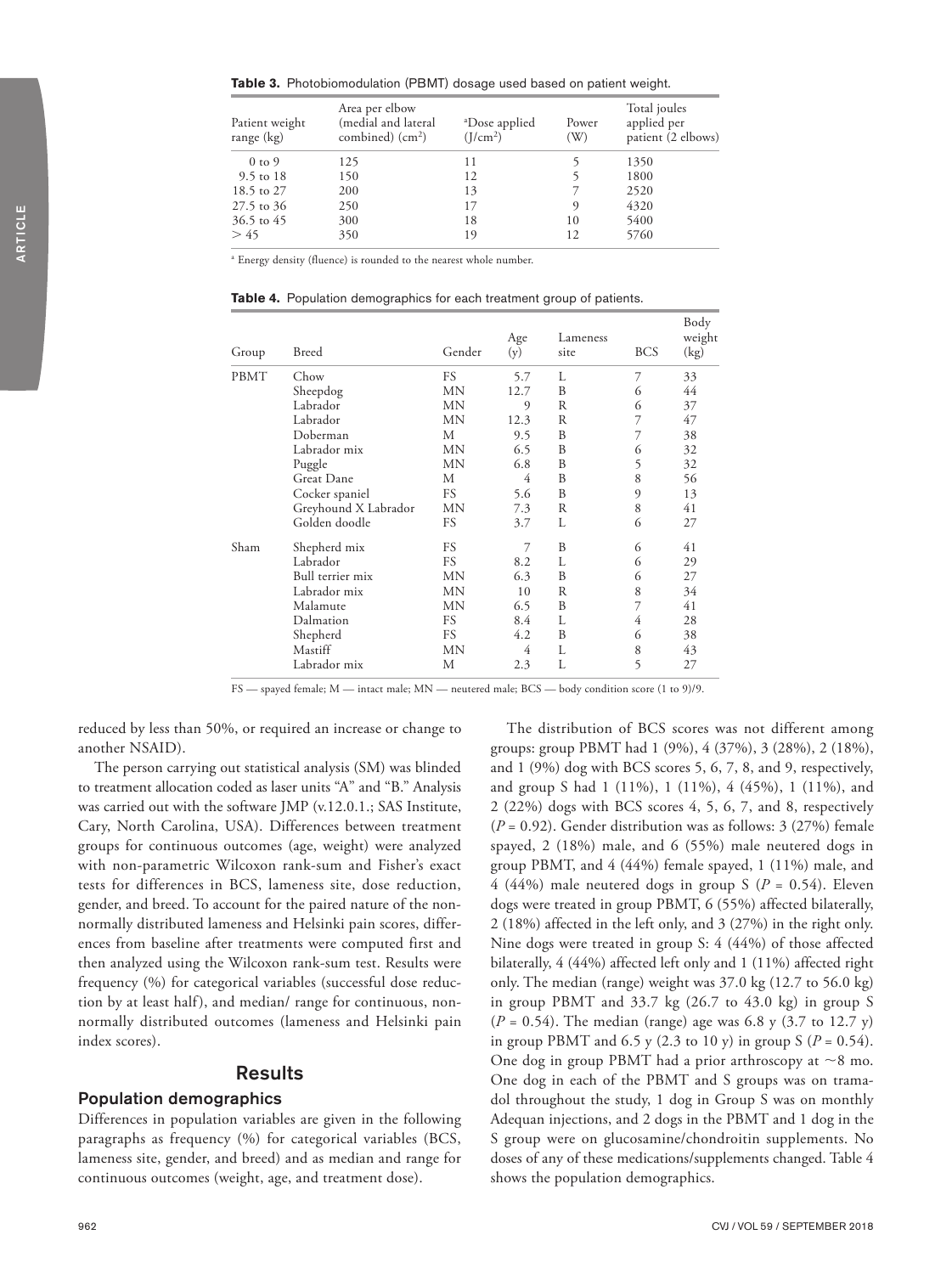**Table 3.** Photobiomodulation (PBMT) dosage used based on patient weight.

| Patient weight<br>range (kg) | Area per elbow<br>(medial and lateral<br>combined) $(cm2)$ | <sup>a</sup> Dose applied<br>(I/cm <sup>2</sup> ) | Power<br>(W) | Total joules<br>applied per<br>patient (2 elbows) |
|------------------------------|------------------------------------------------------------|---------------------------------------------------|--------------|---------------------------------------------------|
| $0 \text{ to } 9$            | 125                                                        | 11                                                |              | 1350                                              |
| 9.5 to 18                    | 150                                                        | 12                                                |              | 1800                                              |
| 18.5 to 27                   | 200                                                        | 13                                                |              | 2520                                              |
| 27.5 to 36                   | 250                                                        | 17                                                | 9            | 4320                                              |
| 36.5 to 45                   | 300                                                        | 18                                                | 10           | 5400                                              |
| > 45                         | 350                                                        | 19                                                | 12           | 5760                                              |

<sup>a</sup> Energy density (fluence) is rounded to the nearest whole number.

**Table 4.** Population demographics for each treatment group of patients.

| Group | <b>Breed</b>         | Gender    | Age<br>(y) | Lameness<br>site | <b>BCS</b> | Body<br>weight<br>(kg) |
|-------|----------------------|-----------|------------|------------------|------------|------------------------|
| PBMT  | Chow                 | FS        | 5.7        | L                | 7          | 33                     |
|       | Sheepdog             | MN        | 12.7       | B                | 6          | 44                     |
|       | Labrador             | MN        | 9          | R                | 6          | 37                     |
|       | Labrador             | MN        | 12.3       | R                | 7          | 47                     |
|       | Doberman             | М         | 9.5        | B                | 7          | 38                     |
|       | Labrador mix         | MΝ        | 6.5        | B                | 6          | 32                     |
|       | Puggle               | MN        | 6.8        | B                | 5          | 32                     |
|       | Great Dane           | М         | 4          | B                | 8          | 56                     |
|       | Cocker spaniel       | FS        | 5.6        | B                | 9          | 13                     |
|       | Greyhound X Labrador | MΝ        | 7.3        | R                | 8          | 41                     |
|       | Golden doodle        | FS        | 3.7        | L                | 6          | 27                     |
| Sham  | Shepherd mix         | FS        | 7          | B                | 6          | 41                     |
|       | Labrador             | FS        | 8.2        | L                | 6          | 29                     |
|       | Bull terrier mix     | MN        | 6.3        | B                | 6          | 27                     |
|       | Labrador mix         | MN        | 10         | R                | 8          | 34                     |
|       | Malamute             | MN        | 6.5        | B                | 7          | 41                     |
|       | Dalmation            | <b>FS</b> | 8.4        | L                | 4          | 28                     |
|       | Shepherd             | FS        | 4.2        | B                | 6          | 38                     |
|       | Mastiff              | MN        | 4          | L                | 8          | 43                     |
|       | Labrador mix         | М         | 2.3        | L                | 5          | 27                     |

FS — spayed female; M — intact male; MN — neutered male; BCS — body condition score (1 to 9)/9.

reduced by less than 50%, or required an increase or change to another NSAID).

The person carrying out statistical analysis (SM) was blinded to treatment allocation coded as laser units "A" and "B." Analysis was carried out with the software JMP (v.12.0.1.; SAS Institute, Cary, North Carolina, USA). Differences between treatment groups for continuous outcomes (age, weight) were analyzed with non-parametric Wilcoxon rank-sum and Fisher's exact tests for differences in BCS, lameness site, dose reduction, gender, and breed. To account for the paired nature of the nonnormally distributed lameness and Helsinki pain scores, differences from baseline after treatments were computed first and then analyzed using the Wilcoxon rank-sum test. Results were frequency (%) for categorical variables (successful dose reduction by at least half), and median/ range for continuous, nonnormally distributed outcomes (lameness and Helsinki pain index scores).

#### Results

#### Population demographics

Differences in population variables are given in the following paragraphs as frequency (%) for categorical variables (BCS, lameness site, gender, and breed) and as median and range for continuous outcomes (weight, age, and treatment dose).

The distribution of BCS scores was not different among groups: group PBMT had 1 (9%), 4 (37%), 3 (28%), 2 (18%), and 1 (9%) dog with BCS scores 5, 6, 7, 8, and 9, respectively, and group S had 1 (11%), 1 (11%), 4 (45%), 1 (11%), and 2 (22%) dogs with BCS scores 4, 5, 6, 7, and 8, respectively (*P* = 0.92). Gender distribution was as follows: 3 (27%) female spayed, 2 (18%) male, and 6 (55%) male neutered dogs in group PBMT, and 4 (44%) female spayed, 1 (11%) male, and 4 (44%) male neutered dogs in group S ( $P = 0.54$ ). Eleven dogs were treated in group PBMT, 6 (55%) affected bilaterally, 2 (18%) affected in the left only, and 3 (27%) in the right only. Nine dogs were treated in group S: 4 (44%) of those affected bilaterally, 4 (44%) affected left only and 1 (11%) affected right only. The median (range) weight was 37.0 kg (12.7 to 56.0 kg) in group PBMT and 33.7 kg (26.7 to 43.0 kg) in group S  $(P = 0.54)$ . The median (range) age was 6.8 y (3.7 to 12.7 y) in group PBMT and 6.5 y (2.3 to 10 y) in group  $S(P = 0.54)$ . One dog in group PBMT had a prior arthroscopy at  $\sim$ 8 mo. One dog in each of the PBMT and S groups was on tramadol throughout the study, 1 dog in Group S was on monthly Adequan injections, and 2 dogs in the PBMT and 1 dog in the S group were on glucosamine/chondroitin supplements. No doses of any of these medications/supplements changed. Table 4 shows the population demographics.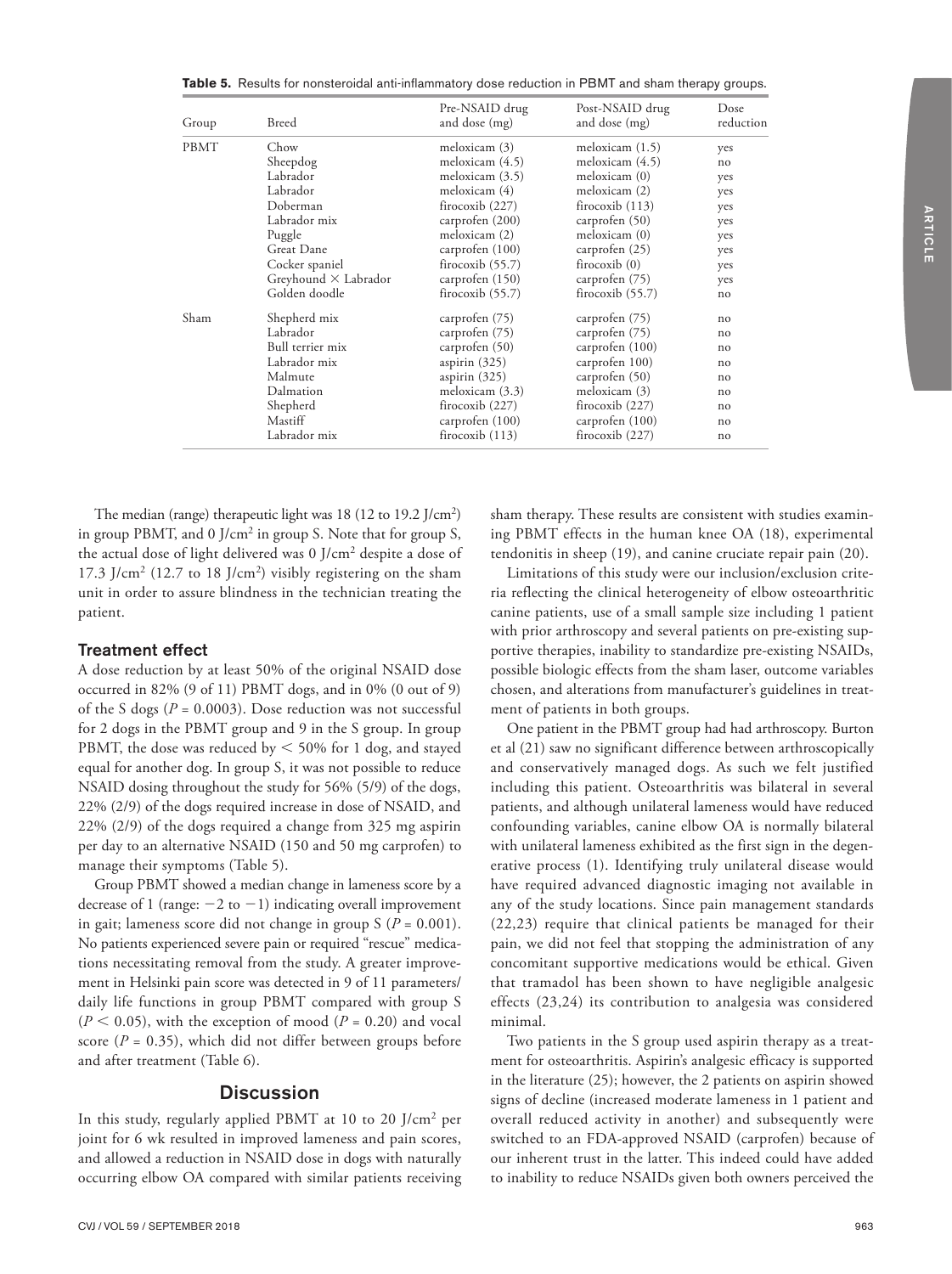**Table 5.** Results for nonsteroidal anti-inflammatory dose reduction in PBMT and sham therapy groups.

| Group       | Breed                       | Pre-NSAID drug<br>and dose (mg) | Post-NSAID drug<br>and dose (mg) | <b>Dose</b><br>reduction |
|-------------|-----------------------------|---------------------------------|----------------------------------|--------------------------|
| <b>PBMT</b> | Chow                        | meloxicam (3)                   | meloxicam $(1.5)$                | yes                      |
|             | Sheepdog                    | meloxicam $(4.5)$               | meloxicam $(4.5)$                | no                       |
|             | Labrador                    | meloxicam $(3.5)$               | meloxicam (0)                    | yes                      |
|             | Labrador                    | meloxicam (4)                   | meloxicam (2)                    | yes                      |
|             | Doberman                    | firocoxib $(227)$               | firocoxib $(113)$                | yes                      |
|             | Labrador mix                | carprofen (200)                 | carprofen (50)                   | yes                      |
|             | Puggle                      | meloxicam (2)                   | meloxicam (0)                    | yes                      |
|             | Great Dane                  | carprofen (100)                 | carprofen (25)                   | yes                      |
|             | Cocker spaniel              | firocoxib $(55.7)$              | firocoxib $(0)$                  | yes                      |
|             | Greyhound $\times$ Labrador | carprofen (150)                 | carprofen (75)                   | yes                      |
|             | Golden doodle               | firocoxib $(55.7)$              | firocoxib $(55.7)$               | no                       |
| Sham        | Shepherd mix                | carprofen (75)                  | carprofen (75)                   | no                       |
|             | Labrador                    | carprofen (75)                  | carprofen (75)                   | no                       |
|             | Bull terrier mix            | carprofen (50)                  | carprofen (100)                  | no                       |
|             | Labrador mix                | aspirin $(325)$                 | carprofen 100)                   | no                       |
|             | Malmute                     | aspirin $(325)$                 | carprofen (50)                   | no                       |
|             | Dalmation                   | meloxicam (3.3)                 | meloxicam (3)                    | no                       |
|             | Shepherd                    | firocoxib $(227)$               | firocoxib $(227)$                | no                       |
|             | Mastiff                     | carprofen (100)                 | carprofen (100)                  | no                       |
|             | Labrador mix                | firocoxib $(113)$               | firocoxib $(227)$                | no                       |

The median (range) therapeutic light was 18 (12 to 19.2 J/cm<sup>2</sup>) in group PBMT, and 0  $J/cm<sup>2</sup>$  in group S. Note that for group S, the actual dose of light delivered was 0 J/cm2 despite a dose of 17.3  $\rm J/cm^2$  (12.7 to 18  $\rm J/cm^2$ ) visibly registering on the sham unit in order to assure blindness in the technician treating the patient.

#### Treatment effect

A dose reduction by at least 50% of the original NSAID dose occurred in 82% (9 of 11) PBMT dogs, and in 0% (0 out of 9) of the S dogs ( $P = 0.0003$ ). Dose reduction was not successful for 2 dogs in the PBMT group and 9 in the S group. In group PBMT, the dose was reduced by  $<$  50% for 1 dog, and stayed equal for another dog. In group S, it was not possible to reduce NSAID dosing throughout the study for 56% (5/9) of the dogs, 22% (2/9) of the dogs required increase in dose of NSAID, and 22% (2/9) of the dogs required a change from 325 mg aspirin per day to an alternative NSAID (150 and 50 mg carprofen) to manage their symptoms (Table 5).

Group PBMT showed a median change in lameness score by a decrease of 1 (range:  $-2$  to  $-1$ ) indicating overall improvement in gait; lameness score did not change in group  $S(P = 0.001)$ . No patients experienced severe pain or required "rescue" medications necessitating removal from the study. A greater improvement in Helsinki pain score was detected in 9 of 11 parameters/ daily life functions in group PBMT compared with group S  $(P < 0.05)$ , with the exception of mood  $(P = 0.20)$  and vocal score  $(P = 0.35)$ , which did not differ between groups before and after treatment (Table 6).

#### **Discussion**

In this study, regularly applied PBMT at 10 to 20 J/cm2 per joint for 6 wk resulted in improved lameness and pain scores, and allowed a reduction in NSAID dose in dogs with naturally occurring elbow OA compared with similar patients receiving sham therapy. These results are consistent with studies examining PBMT effects in the human knee OA (18), experimental tendonitis in sheep (19), and canine cruciate repair pain (20).

Limitations of this study were our inclusion/exclusion criteria reflecting the clinical heterogeneity of elbow osteoarthritic canine patients, use of a small sample size including 1 patient with prior arthroscopy and several patients on pre-existing supportive therapies, inability to standardize pre-existing NSAIDs, possible biologic effects from the sham laser, outcome variables chosen, and alterations from manufacturer's guidelines in treatment of patients in both groups.

One patient in the PBMT group had had arthroscopy. Burton et al (21) saw no significant difference between arthroscopically and conservatively managed dogs. As such we felt justified including this patient. Osteoarthritis was bilateral in several patients, and although unilateral lameness would have reduced confounding variables, canine elbow OA is normally bilateral with unilateral lameness exhibited as the first sign in the degenerative process (1). Identifying truly unilateral disease would have required advanced diagnostic imaging not available in any of the study locations. Since pain management standards (22,23) require that clinical patients be managed for their pain, we did not feel that stopping the administration of any concomitant supportive medications would be ethical. Given that tramadol has been shown to have negligible analgesic effects (23,24) its contribution to analgesia was considered minimal.

Two patients in the S group used aspirin therapy as a treatment for osteoarthritis. Aspirin's analgesic efficacy is supported in the literature (25); however, the 2 patients on aspirin showed signs of decline (increased moderate lameness in 1 patient and overall reduced activity in another) and subsequently were switched to an FDA-approved NSAID (carprofen) because of our inherent trust in the latter. This indeed could have added to inability to reduce NSAIDs given both owners perceived the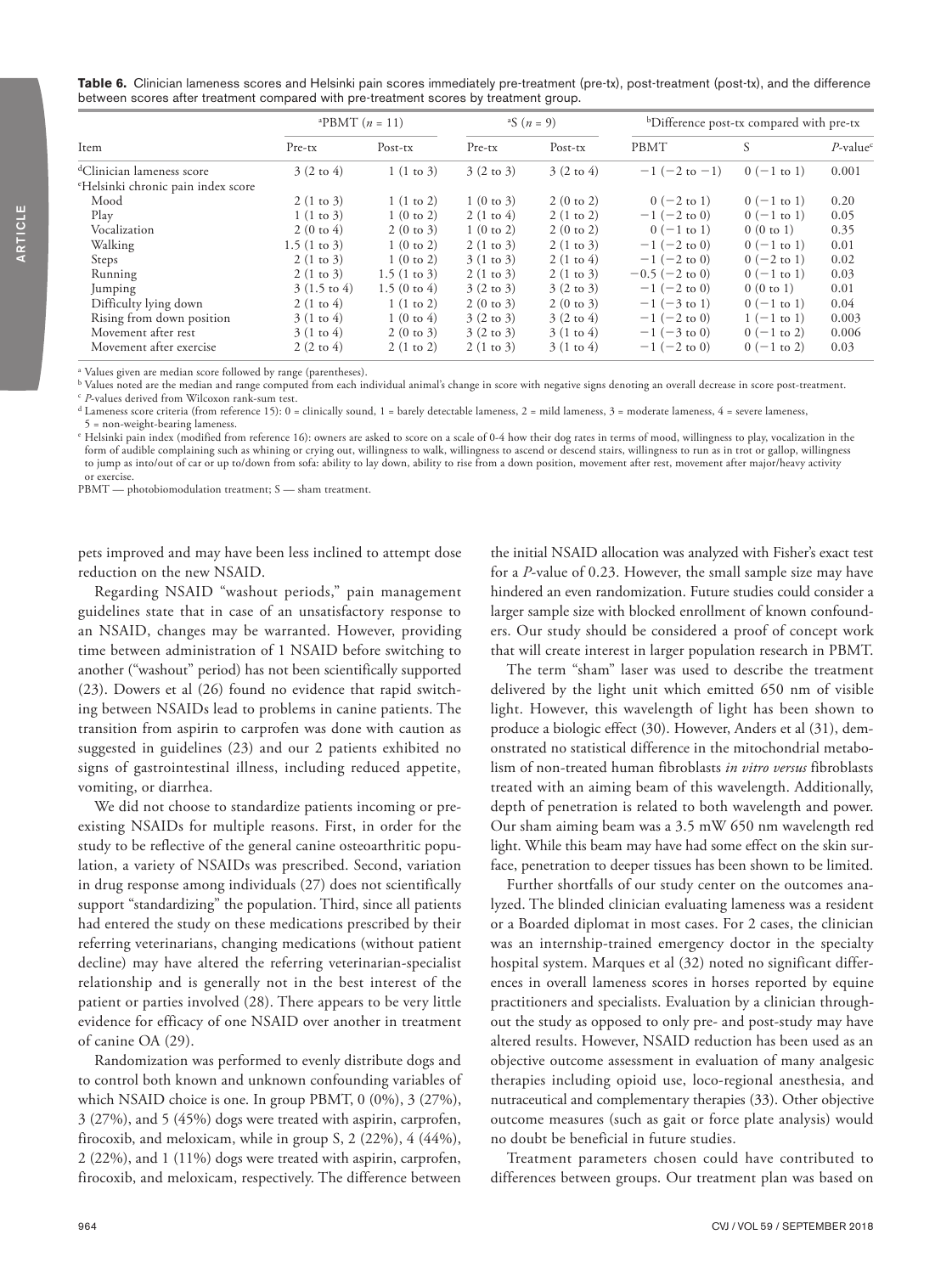|                                                | <sup>a</sup> PBMT $(n = 11)$ |                        | <sup>a</sup> S $(n = 9)$ |                      | <sup>b</sup> Difference post-tx compared with pre-tx |                       |                         |
|------------------------------------------------|------------------------------|------------------------|--------------------------|----------------------|------------------------------------------------------|-----------------------|-------------------------|
| Item                                           | $Pre-tx$                     | $Post-tx$              | $Pre-tx$                 | Post-tx              | <b>PBMT</b>                                          | S                     | $P$ -value <sup>c</sup> |
| <sup>d</sup> Clinician lameness score          | $3(2 \text{ to } 4)$         | $1(1 \text{ to } 3)$   | $3(2 \text{ to } 3)$     | $3(2 \text{ to } 4)$ | $-1$ (-2 to -1)                                      | $0$ (-1 to 1)         | 0.001                   |
| <sup>e</sup> Helsinki chronic pain index score |                              |                        |                          |                      |                                                      |                       |                         |
| Mood                                           | $2(1 \text{ to } 3)$         | 1(1 to 2)              | $1(0 \text{ to } 3)$     | 2(0 to 2)            | $0 (-2 to 1)$                                        | $0$ (-1 to 1)         | 0.20                    |
| Play                                           | 1(1 to 3)                    | 1(0 to 2)              | $2(1 \text{ to } 4)$     | 2(1 to 2)            | $-1$ (-2 to 0)                                       | $0$ (-1 to 1)         | 0.05                    |
| Vocalization                                   | $2(0 \text{ to } 4)$         | 2(0 to 3)              | 1(0 to 2)                | 2(0 to 2)            | $0$ (-1 to 1)                                        | 0(0 to 1)             | 0.35                    |
| Walking                                        | 1.5(1 to 3)                  | 1(0 to 2)              | $2(1 \text{ to } 3)$     | 2(1 to 3)            | $-1$ (-2 to 0)                                       | $0$ (-1 to 1)         | 0.01                    |
| Steps                                          | $2(1 \text{ to } 3)$         | 1(0 to 2)              | 3(1 to 3)                | $2(1 \text{ to } 4)$ | $-1$ (-2 to 0)                                       | $0 (-2 to 1)$         | 0.02                    |
| Running                                        | $2(1 \text{ to } 3)$         | 1.5(1 to 3)            | $2(1 \text{ to } 3)$     | 2(1 to 3)            | $-0.5$ ( $-2$ to 0)                                  | $0$ (-1 to 1)         | 0.03                    |
| Jumping                                        | $3(1.5 \text{ to } 4)$       | $1.5(0 \text{ to } 4)$ | $3(2 \text{ to } 3)$     | $3(2 \text{ to } 3)$ | $-1$ (-2 to 0)                                       | 0(0 to 1)             | 0.01                    |
| Difficulty lying down                          | $2(1 \text{ to } 4)$         | 1(1 to 2)              | $2(0 \text{ to } 3)$     | 2(0 to 3)            | $-1$ (-3 to 1)                                       | $0$ (-1 to 1)         | 0.04                    |
| Rising from down position                      | 3(1 to 4)                    | $1(0 \text{ to } 4)$   | $3(2 \text{ to } 3)$     | $3(2 \text{ to } 4)$ | $-1$ (-2 to 0)                                       | $1(-1 \text{ to } 1)$ | 0.003                   |
| Movement after rest                            | $3(1 \text{ to } 4)$         | 2(0 to 3)              | $3(2 \text{ to } 3)$     | 3(1 to 4)            | $-1$ (-3 to 0)                                       | $0$ (-1 to 2)         | 0.006                   |
| Movement after exercise                        | $2(2 \text{ to } 4)$         | $2(1 \text{ to } 2)$   | 2(1 to 3)                | $3(1 \text{ to } 4)$ | $-1$ (-2 to 0)                                       | $0$ (-1 to 2)         | 0.03                    |

<sup>a</sup> Values given are median score followed by range (parentheses).

<sup>b</sup> Values noted are the median and range computed from each individual animal's change in score with negative signs denoting an overall decrease in score post-treatment. <sup>c</sup> *P*-values derived from Wilcoxon rank-sum test.

<sup>d</sup> Lameness score criteria (from reference 15): 0 = clinically sound, 1 = barely detectable lameness, 2 = mild lameness, 3 = moderate lameness, 4 = severe lameness,

= non-weight-bearing lameness.

<sup>e</sup> Helsinki pain index (modified from reference 16): owners are asked to score on a scale of 0-4 how their dog rates in terms of mood, willingness to play, vocalization in the form of audible complaining such as whining or crying out, willingness to walk, willingness to ascend or descend stairs, willingness to run as in trot or gallop, willingness to jump as into/out of car or up to/down from sofa: ability to lay down, ability to rise from a down position, movement after rest, movement after major/heavy activity or exercise.

PBMT — photobiomodulation treatment; S — sham treatment.

pets improved and may have been less inclined to attempt dose reduction on the new NSAID.

Regarding NSAID "washout periods," pain management guidelines state that in case of an unsatisfactory response to an NSAID, changes may be warranted. However, providing time between administration of 1 NSAID before switching to another ("washout" period) has not been scientifically supported (23). Dowers et al (26) found no evidence that rapid switching between NSAIDs lead to problems in canine patients. The transition from aspirin to carprofen was done with caution as suggested in guidelines (23) and our 2 patients exhibited no signs of gastrointestinal illness, including reduced appetite, vomiting, or diarrhea.

We did not choose to standardize patients incoming or preexisting NSAIDs for multiple reasons. First, in order for the study to be reflective of the general canine osteoarthritic population, a variety of NSAIDs was prescribed. Second, variation in drug response among individuals (27) does not scientifically support "standardizing" the population. Third, since all patients had entered the study on these medications prescribed by their referring veterinarians, changing medications (without patient decline) may have altered the referring veterinarian-specialist relationship and is generally not in the best interest of the patient or parties involved (28). There appears to be very little evidence for efficacy of one NSAID over another in treatment of canine OA (29).

Randomization was performed to evenly distribute dogs and to control both known and unknown confounding variables of which NSAID choice is one. In group PBMT, 0 (0%), 3 (27%), 3 (27%), and 5 (45%) dogs were treated with aspirin, carprofen, firocoxib, and meloxicam, while in group S, 2 (22%), 4 (44%), 2 (22%), and 1 (11%) dogs were treated with aspirin, carprofen, firocoxib, and meloxicam, respectively. The difference between

the initial NSAID allocation was analyzed with Fisher's exact test for a *P*-value of 0.23. However, the small sample size may have hindered an even randomization. Future studies could consider a larger sample size with blocked enrollment of known confounders. Our study should be considered a proof of concept work that will create interest in larger population research in PBMT.

The term "sham" laser was used to describe the treatment delivered by the light unit which emitted 650 nm of visible light. However, this wavelength of light has been shown to produce a biologic effect (30). However, Anders et al (31), demonstrated no statistical difference in the mitochondrial metabolism of non-treated human fibroblasts *in vitro versus* fibroblasts treated with an aiming beam of this wavelength. Additionally, depth of penetration is related to both wavelength and power. Our sham aiming beam was a 3.5 mW 650 nm wavelength red light. While this beam may have had some effect on the skin surface, penetration to deeper tissues has been shown to be limited.

Further shortfalls of our study center on the outcomes analyzed. The blinded clinician evaluating lameness was a resident or a Boarded diplomat in most cases. For 2 cases, the clinician was an internship-trained emergency doctor in the specialty hospital system. Marques et al (32) noted no significant differences in overall lameness scores in horses reported by equine practitioners and specialists. Evaluation by a clinician throughout the study as opposed to only pre- and post-study may have altered results. However, NSAID reduction has been used as an objective outcome assessment in evaluation of many analgesic therapies including opioid use, loco-regional anesthesia, and nutraceutical and complementary therapies (33). Other objective outcome measures (such as gait or force plate analysis) would no doubt be beneficial in future studies.

Treatment parameters chosen could have contributed to differences between groups. Our treatment plan was based on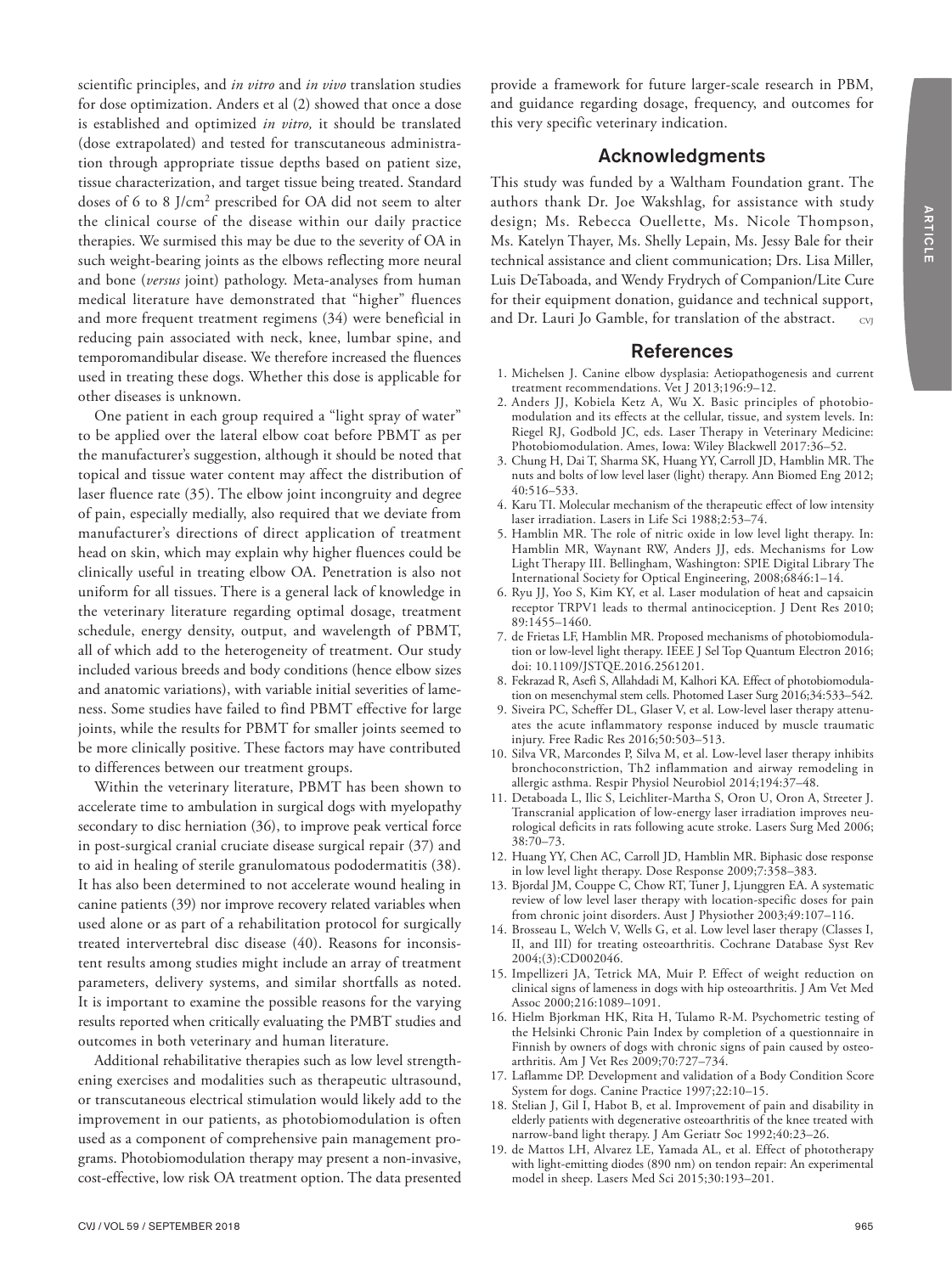scientific principles, and *in vitro* and *in vivo* translation studies for dose optimization. Anders et al (2) showed that once a dose is established and optimized *in vitro,* it should be translated (dose extrapolated) and tested for transcutaneous administration through appropriate tissue depths based on patient size, tissue characterization, and target tissue being treated. Standard doses of 6 to 8 J/cm2 prescribed for OA did not seem to alter the clinical course of the disease within our daily practice therapies. We surmised this may be due to the severity of OA in such weight-bearing joints as the elbows reflecting more neural and bone (*versus* joint) pathology. Meta-analyses from human medical literature have demonstrated that "higher" fluences and more frequent treatment regimens (34) were beneficial in reducing pain associated with neck, knee, lumbar spine, and temporomandibular disease. We therefore increased the fluences used in treating these dogs. Whether this dose is applicable for other diseases is unknown.

One patient in each group required a "light spray of water" to be applied over the lateral elbow coat before PBMT as per the manufacturer's suggestion, although it should be noted that topical and tissue water content may affect the distribution of laser fluence rate (35). The elbow joint incongruity and degree of pain, especially medially, also required that we deviate from manufacturer's directions of direct application of treatment head on skin, which may explain why higher fluences could be clinically useful in treating elbow OA. Penetration is also not uniform for all tissues. There is a general lack of knowledge in the veterinary literature regarding optimal dosage, treatment schedule, energy density, output, and wavelength of PBMT, all of which add to the heterogeneity of treatment. Our study included various breeds and body conditions (hence elbow sizes and anatomic variations), with variable initial severities of lameness. Some studies have failed to find PBMT effective for large joints, while the results for PBMT for smaller joints seemed to be more clinically positive. These factors may have contributed to differences between our treatment groups.

Within the veterinary literature, PBMT has been shown to accelerate time to ambulation in surgical dogs with myelopathy secondary to disc herniation (36), to improve peak vertical force in post-surgical cranial cruciate disease surgical repair (37) and to aid in healing of sterile granulomatous pododermatitis (38). It has also been determined to not accelerate wound healing in canine patients (39) nor improve recovery related variables when used alone or as part of a rehabilitation protocol for surgically treated intervertebral disc disease (40). Reasons for inconsistent results among studies might include an array of treatment parameters, delivery systems, and similar shortfalls as noted. It is important to examine the possible reasons for the varying results reported when critically evaluating the PMBT studies and outcomes in both veterinary and human literature.

Additional rehabilitative therapies such as low level strengthening exercises and modalities such as therapeutic ultrasound, or transcutaneous electrical stimulation would likely add to the improvement in our patients, as photobiomodulation is often used as a component of comprehensive pain management programs. Photobiomodulation therapy may present a non-invasive, cost-effective, low risk OA treatment option. The data presented provide a framework for future larger-scale research in PBM, and guidance regarding dosage, frequency, and outcomes for this very specific veterinary indication.

# Acknowledgments

This study was funded by a Waltham Foundation grant. The authors thank Dr. Joe Wakshlag, for assistance with study design; Ms. Rebecca Ouellette, Ms. Nicole Thompson, Ms. Katelyn Thayer, Ms. Shelly Lepain, Ms. Jessy Bale for their technical assistance and client communication; Drs. Lisa Miller, Luis DeTaboada, and Wendy Frydrych of Companion/Lite Cure for their equipment donation, guidance and technical support, and Dr. Lauri Jo Gamble, for translation of the abstract. CVJ

# References

- 1. Michelsen J. Canine elbow dysplasia: Aetiopathogenesis and current treatment recommendations. Vet J 2013;196:9–12.
- 2. Anders JJ, Kobiela Ketz A, Wu X. Basic principles of photobiomodulation and its effects at the cellular, tissue, and system levels. In: Riegel RJ, Godbold JC, eds. Laser Therapy in Veterinary Medicine: Photobiomodulation. Ames, Iowa: Wiley Blackwell 2017:36–52.
- 3. Chung H, Dai T, Sharma SK, Huang YY, Carroll JD, Hamblin MR. The nuts and bolts of low level laser (light) therapy. Ann Biomed Eng 2012; 40:516–533.
- 4. Karu TI. Molecular mechanism of the therapeutic effect of low intensity laser irradiation. Lasers in Life Sci 1988;2:53–74.
- 5. Hamblin MR. The role of nitric oxide in low level light therapy. In: Hamblin MR, Waynant RW, Anders JJ, eds. Mechanisms for Low Light Therapy III. Bellingham, Washington: SPIE Digital Library The International Society for Optical Engineering, 2008;6846:1–14.
- 6. Ryu JJ, Yoo S, Kim KY, et al. Laser modulation of heat and capsaicin receptor TRPV1 leads to thermal antinociception. J Dent Res 2010; 89:1455–1460.
- 7. de Frietas LF, Hamblin MR. Proposed mechanisms of photobiomodulation or low-level light therapy. IEEE J Sel Top Quantum Electron 2016; doi: 10.1109/JSTQE.2016.2561201.
- 8. Fekrazad R, Asefi S, Allahdadi M, Kalhori KA. Effect of photobiomodulation on mesenchymal stem cells. Photomed Laser Surg 2016;34:533–542.
- 9. Siveira PC, Scheffer DL, Glaser V, et al. Low-level laser therapy attenuates the acute inflammatory response induced by muscle traumatic injury. Free Radic Res 2016;50:503–513.
- 10. Silva VR, Marcondes P, Silva M, et al. Low-level laser therapy inhibits bronchoconstriction, Th2 inflammation and airway remodeling in allergic asthma. Respir Physiol Neurobiol 2014;194:37–48.
- 11. Detaboada L, Ilic S, Leichliter-Martha S, Oron U, Oron A, Streeter J. Transcranial application of low-energy laser irradiation improves neurological deficits in rats following acute stroke. Lasers Surg Med 2006; 38:70–73.
- 12. Huang YY, Chen AC, Carroll JD, Hamblin MR. Biphasic dose response in low level light therapy. Dose Response 2009;7:358–383.
- 13. Bjordal JM, Couppe C, Chow RT, Tuner J, Ljunggren EA. A systematic review of low level laser therapy with location-specific doses for pain from chronic joint disorders. Aust J Physiother 2003;49:107–116.
- 14. Brosseau L, Welch V, Wells G, et al. Low level laser therapy (Classes I, II, and III) for treating osteoarthritis. Cochrane Database Syst Rev 2004;(3):CD002046.
- 15. Impellizeri JA, Tetrick MA, Muir P. Effect of weight reduction on clinical signs of lameness in dogs with hip osteoarthritis. J Am Vet Med Assoc 2000;216:1089–1091.
- 16. Hielm Bjorkman HK, Rita H, Tulamo R-M. Psychometric testing of the Helsinki Chronic Pain Index by completion of a questionnaire in Finnish by owners of dogs with chronic signs of pain caused by osteoarthritis. Am J Vet Res 2009;70:727–734.
- 17. Laflamme DP. Development and validation of a Body Condition Score System for dogs. Canine Practice 1997;22:10–15.
- 18. Stelian J, Gil I, Habot B, et al. Improvement of pain and disability in elderly patients with degenerative osteoarthritis of the knee treated with narrow-band light therapy. J Am Geriatr Soc 1992;40:23–26.
- 19. de Mattos LH, Alvarez LE, Yamada AL, et al. Effect of phototherapy with light-emitting diodes (890 nm) on tendon repair: An experimental model in sheep. Lasers Med Sci 2015;30:193–201.